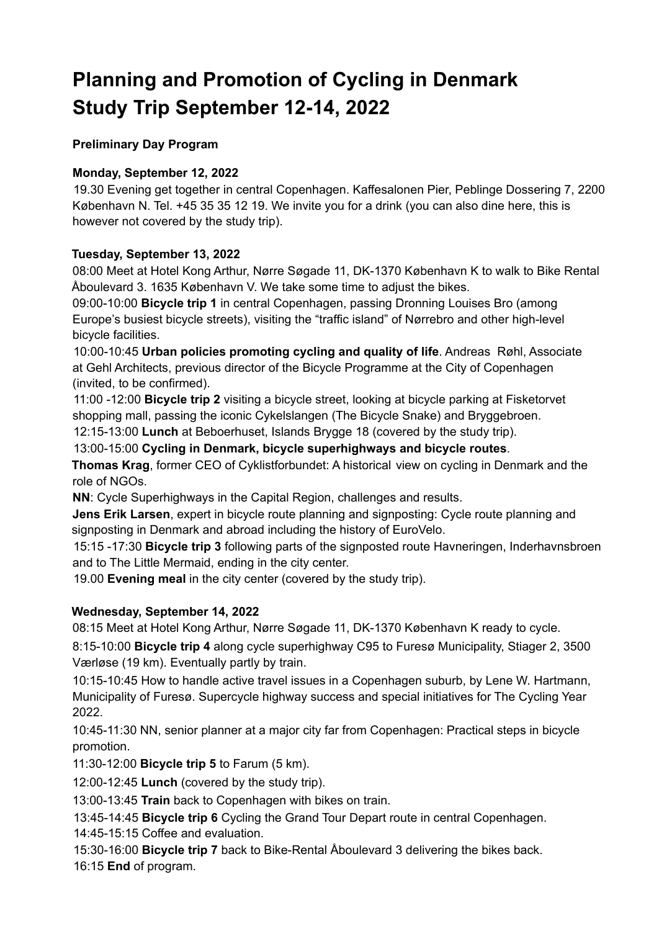# **Planning and Promotion of Cycling in Denmark Study Trip September 12-14, 2022**

# **Preliminary Day Program**

# **Monday, September 12, 2022**

19.30 Evening get together in central Copenhagen. Kaffesalonen Pier, Peblinge Dossering 7, 2200 København N. Tel. +45 35 35 12 19. We invite you for a drink (you can also dine here, this is however not covered by the study trip).

# **Tuesday, September 13, 2022**

08:00 Meet at Hotel Kong Arthur, Nørre Søgade 11, DK-1370 København K to walk to Bike Rental Åboulevard 3. 1635 København V. We take some time to adjust the bikes.

09:00-10:00 **Bicycle trip 1** in central Copenhagen, passing Dronning Louises Bro (among Europe's busiest bicycle streets), visiting the "traffic island" of Nørrebro and other high-level bicycle facilities.

10:00-10:45 **Urban policies promoting cycling and quality of life**. Andreas Røhl, Associate at Gehl Architects, previous director of the Bicycle Programme at the City of Copenhagen (invited, to be confirmed).

11:00 -12:00 **Bicycle trip 2** visiting a bicycle street, looking at bicycle parking at Fisketorvet shopping mall, passing the iconic Cykelslangen (The Bicycle Snake) and Bryggebroen.

12:15-13:00 **Lunch** at Beboerhuset, Islands Brygge 18 (covered by the study trip).

13:00-15:00 **Cycling in Denmark, bicycle superhighways and bicycle routes**.

**Thomas Krag**, former CEO of Cyklistforbundet: A historical view on cycling in Denmark and the role of NGOs.

**NN**: Cycle Superhighways in the Capital Region, challenges and results.

**Jens Erik Larsen**, expert in bicycle route planning and signposting: Cycle route planning and signposting in Denmark and abroad including the history of EuroVelo.

15:15 -17:30 **Bicycle trip 3** following parts of the signposted route Havneringen, Inderhavnsbroen and to The Little Mermaid, ending in the city center.

19.00 **Evening meal** in the city center (covered by the study trip).

## **Wednesday, September 14, 2022**

08:15 Meet at Hotel Kong Arthur, Nørre Søgade 11, DK-1370 København K ready to cycle.

8:15-10:00 **Bicycle trip 4** along cycle superhighway C95 to Furesø Municipality, Stiager 2, 3500 Værløse (19 km). Eventually partly by train.

10:15-10:45 How to handle active travel issues in a Copenhagen suburb, by Lene W. Hartmann, Municipality of Furesø. Supercycle highway success and special initiatives for The Cycling Year 2022.

10:45-11:30 NN, senior planner at a major city far from Copenhagen: Practical steps in bicycle promotion.

11:30-12:00 **Bicycle trip 5** to Farum (5 km).

12:00-12:45 **Lunch** (covered by the study trip).

13:00-13:45 **Train** back to Copenhagen with bikes on train.

13:45-14:45 **Bicycle trip 6** Cycling the Grand Tour Depart route in central Copenhagen. 14:45-15:15 Coffee and evaluation.

15:30-16:00 **Bicycle trip 7** back to Bike-Rental Åboulevard 3 delivering the bikes back. 16:15 **End** of program.